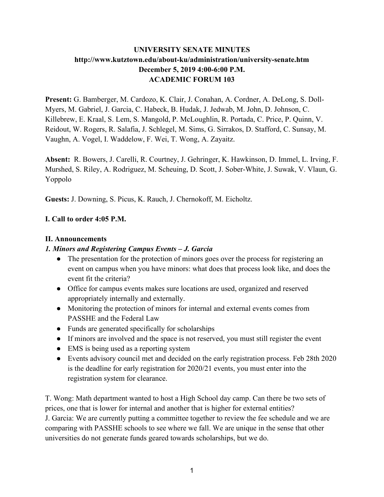# **UNIVERSITY SENATE MINUTES http://www.kutztown.edu/about-ku/administration/university-senate.htm December 5, 2019 4:00-6:00 P.M. ACADEMIC FORUM 103**

**Present:** G. Bamberger, M. Cardozo, K. Clair, J. Conahan, A. Cordner, A. DeLong, S. Doll-Myers, M. Gabriel, J. Garcia, C. Habeck, B. Hudak, J. Jedwab, M. John, D. Johnson, C. Killebrew, E. Kraal, S. Lem, S. Mangold, P. McLoughlin, R. Portada, C. Price, P. Quinn, V. Reidout, W. Rogers, R. Salafia, J. Schlegel, M. Sims, G. Sirrakos, D. Stafford, C. Sunsay, M. Vaughn, A. Vogel, I. Waddelow, F. Wei, T. Wong, A. Zayaitz.

**Absent:** R. Bowers, J. Carelli, R. Courtney, J. Gehringer, K. Hawkinson, D. Immel, L. Irving, F. Murshed, S. Riley, A. Rodriguez, M. Scheuing, D. Scott, J. Sober-White, J. Suwak, V. Vlaun, G. Yoppolo

**Guests:** J. Downing, S. Picus, K. Rauch, J. Chernokoff, M. Eicholtz.

## **I. Call to order 4:05 P.M.**

#### **II. Announcements**

#### *1. Minors and Registering Campus Events – J. Garcia*

- The presentation for the protection of minors goes over the process for registering an event on campus when you have minors: what does that process look like, and does the event fit the criteria?
- Office for campus events makes sure locations are used, organized and reserved appropriately internally and externally.
- Monitoring the protection of minors for internal and external events comes from PASSHE and the Federal Law
- Funds are generated specifically for scholarships
- If minors are involved and the space is not reserved, you must still register the event
- EMS is being used as a reporting system
- Events advisory council met and decided on the early registration process. Feb 28th 2020 is the deadline for early registration for 2020/21 events, you must enter into the registration system for clearance.

T. Wong: Math department wanted to host a High School day camp. Can there be two sets of prices, one that is lower for internal and another that is higher for external entities? J. Garcia: We are currently putting a committee together to review the fee schedule and we are comparing with PASSHE schools to see where we fall. We are unique in the sense that other universities do not generate funds geared towards scholarships, but we do.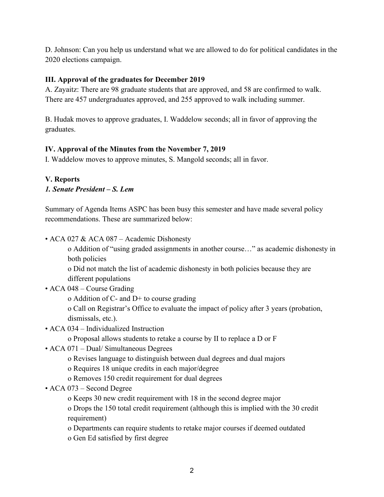D. Johnson: Can you help us understand what we are allowed to do for political candidates in the 2020 elections campaign.

## **III. Approval of the graduates for December 2019**

A. Zayaitz: There are 98 graduate students that are approved, and 58 are confirmed to walk. There are 457 undergraduates approved, and 255 approved to walk including summer.

B. Hudak moves to approve graduates, I. Waddelow seconds; all in favor of approving the graduates.

# **IV. Approval of the Minutes from the November 7, 2019**

I. Waddelow moves to approve minutes, S. Mangold seconds; all in favor.

# **V. Reports**  *1. Senate President – S. Lem*

Summary of Agenda Items ASPC has been busy this semester and have made several policy recommendations. These are summarized below:

• ACA 027 & ACA 087 – Academic Dishonesty

o Addition of "using graded assignments in another course…" as academic dishonesty in both policies

o Did not match the list of academic dishonesty in both policies because they are different populations

- ACA 048 Course Grading
	- o Addition of C- and D+ to course grading

o Call on Registrar's Office to evaluate the impact of policy after 3 years (probation, dismissals, etc.).

• ACA 034 – Individualized Instruction

o Proposal allows students to retake a course by II to replace a D or F

- ACA 071 Dual/ Simultaneous Degrees
	- o Revises language to distinguish between dual degrees and dual majors
	- o Requires 18 unique credits in each major/degree
	- o Removes 150 credit requirement for dual degrees
- ACA 073 Second Degree
	- o Keeps 30 new credit requirement with 18 in the second degree major

o Drops the 150 total credit requirement (although this is implied with the 30 credit requirement)

- o Departments can require students to retake major courses if deemed outdated
- o Gen Ed satisfied by first degree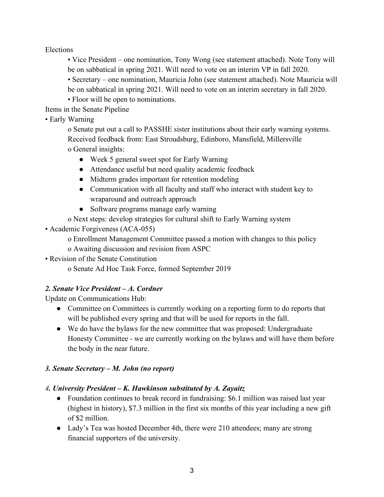Elections

• Vice President – one nomination, Tony Wong (see statement attached). Note Tony will be on sabbatical in spring 2021. Will need to vote on an interim VP in fall 2020.

• Secretary – one nomination, Mauricia John (see statement attached). Note Mauricia will be on sabbatical in spring 2021. Will need to vote on an interim secretary in fall 2020.

• Floor will be open to nominations.

Items in the Senate Pipeline

• Early Warning

o Senate put out a call to PASSHE sister institutions about their early warning systems. Received feedback from: East Stroudsburg, Edinboro, Mansfield, Millersville o General insights:

- Week 5 general sweet spot for Early Warning
- Attendance useful but need quality academic feedback
- Midterm grades important for retention modeling
- Communication with all faculty and staff who interact with student key to wraparound and outreach approach
- Software programs manage early warning
- o Next steps: develop strategies for cultural shift to Early Warning system
- Academic Forgiveness (ACA-055)

o Enrollment Management Committee passed a motion with changes to this policy o Awaiting discussion and revision from ASPC

• Revision of the Senate Constitution

o Senate Ad Hoc Task Force, formed September 2019

# *2. Senate Vice President – A. Cordner*

Update on Communications Hub:

- Committee on Committees is currently working on a reporting form to do reports that will be published every spring and that will be used for reports in the fall.
- We do have the bylaws for the new committee that was proposed: Undergraduate Honesty Committee - we are currently working on the bylaws and will have them before the body in the near future.

# *3. Senate Secretary – M. John (no report)*

## *4. University President – K. Hawkinson substituted by A. Zayaitz*

- Foundation continues to break record in fundraising: \$6.1 million was raised last year (highest in history), \$7.3 million in the first six months of this year including a new gift of \$2 million.
- Lady's Tea was hosted December 4th, there were 210 attendees; many are strong financial supporters of the university.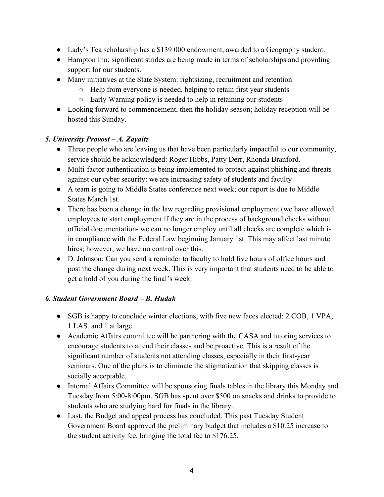- Lady's Tea scholarship has a \$139 000 endowment, awarded to a Geography student.
- Hampton Inn: significant strides are being made in terms of scholarships and providing support for our students.
- Many initiatives at the State System: rightsizing, recruitment and retention
	- Help from everyone is needed, helping to retain first year students
	- Early Warning policy is needed to help in retaining our students
- Looking forward to commencement, then the holiday season; holiday reception will be hosted this Sunday.

# *5. University Provost – A. Zayaitz*

- Three people who are leaving us that have been particularly impactful to our community, service should be acknowledged: Roger Hibbs, Patty Derr, Rhonda Branford.
- Multi-factor authentication is being implemented to protect against phishing and threats against our cyber security: we are increasing safety of students and faculty
- A team is going to Middle States conference next week; our report is due to Middle States March 1st.
- There has been a change in the law regarding provisional employment (we have allowed employees to start employment if they are in the process of background checks without official documentation- we can no longer employ until all checks are complete which is in compliance with the Federal Law beginning January 1st. This may affect last minute hires; however, we have no control over this.
- D. Johnson: Can you send a reminder to faculty to hold five hours of office hours and post the change during next week. This is very important that students need to be able to get a hold of you during the final's week.

# *6. Student Government Board – B. Hudak*

- SGB is happy to conclude winter elections, with five new faces elected: 2 COB, 1 VPA, 1 LAS, and 1 at large.
- Academic Affairs committee will be partnering with the CASA and tutoring services to encourage students to attend their classes and be proactive. This is a result of the significant number of students not attending classes, especially in their first-year seminars. One of the plans is to eliminate the stigmatization that skipping classes is socially acceptable.
- Internal Affairs Committee will be sponsoring finals tables in the library this Monday and Tuesday from 5:00-8:00pm. SGB has spent over \$500 on snacks and drinks to provide to students who are studying hard for finals in the library.
- Last, the Budget and appeal process has concluded. This past Tuesday Student Government Board approved the preliminary budget that includes a \$10.25 increase to the student activity fee, bringing the total fee to \$176.25.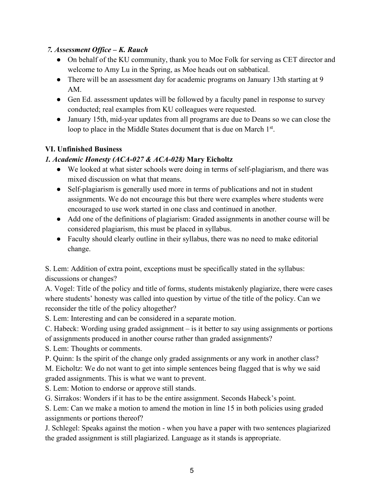#### *7. Assessment Office – K. Rauch*

- On behalf of the KU community, thank you to Moe Folk for serving as CET director and welcome to Amy Lu in the Spring, as Moe heads out on sabbatical.
- There will be an assessment day for academic programs on January 13th starting at 9 AM.
- Gen Ed. assessment updates will be followed by a faculty panel in response to survey conducted; real examples from KU colleagues were requested.
- January 15th, mid-year updates from all programs are due to Deans so we can close the loop to place in the Middle States document that is due on March 1<sup>st</sup>.

#### **VI. Unfinished Business**

#### *1. Academic Honesty (ACA-027 & ACA-028)* **Mary Eicholtz**

- We looked at what sister schools were doing in terms of self-plagiarism, and there was mixed discussion on what that means.
- Self-plagiarism is generally used more in terms of publications and not in student assignments. We do not encourage this but there were examples where students were encouraged to use work started in one class and continued in another.
- Add one of the definitions of plagiarism: Graded assignments in another course will be considered plagiarism, this must be placed in syllabus.
- Faculty should clearly outline in their syllabus, there was no need to make editorial change.

S. Lem: Addition of extra point, exceptions must be specifically stated in the syllabus: discussions or changes?

A. Vogel: Title of the policy and title of forms, students mistakenly plagiarize, there were cases where students' honesty was called into question by virtue of the title of the policy. Can we reconsider the title of the policy altogether?

S. Lem: Interesting and can be considered in a separate motion.

C. Habeck: Wording using graded assignment – is it better to say using assignments or portions of assignments produced in another course rather than graded assignments?

S. Lem: Thoughts or comments.

P. Quinn: Is the spirit of the change only graded assignments or any work in another class? M. Eicholtz: We do not want to get into simple sentences being flagged that is why we said graded assignments. This is what we want to prevent.

S. Lem: Motion to endorse or approve still stands.

G. Sirrakos: Wonders if it has to be the entire assignment. Seconds Habeck's point.

S. Lem: Can we make a motion to amend the motion in line 15 in both policies using graded assignments or portions thereof?

J. Schlegel: Speaks against the motion - when you have a paper with two sentences plagiarized the graded assignment is still plagiarized. Language as it stands is appropriate.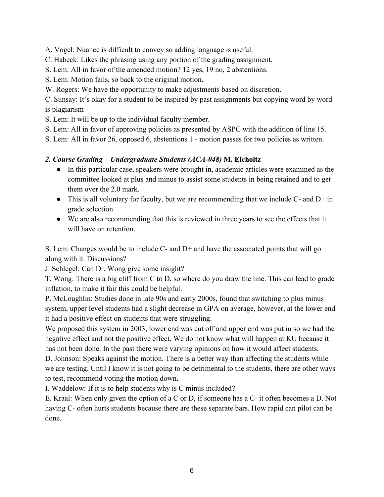A. Vogel: Nuance is difficult to convey so adding language is useful.

C. Habeck: Likes the phrasing using any portion of the grading assignment.

S. Lem: All in favor of the amended motion? 12 yes, 19 no, 2 abstentions.

S. Lem: Motion fails, so back to the original motion.

W. Rogers: We have the opportunity to make adjustments based on discretion.

C. Sunsay: It's okay for a student to be inspired by past assignments but copying word by word is plagiarism

S. Lem: It will be up to the individual faculty member.

S. Lem: All in favor of approving policies as presented by ASPC with the addition of line 15.

S. Lem: All in favor 26, opposed 6, abstentions 1 - motion passes for two policies as written.

# *2. Course Grading – Undergraduate Students (ACA-048)* **M. Eicholtz**

- In this particular case, speakers were brought in, academic articles were examined as the committee looked at plus and minus to assist some students in being retained and to get them over the 2.0 mark.
- This is all voluntary for faculty, but we are recommending that we include  $C$  and  $D+$  in grade selection
- We are also recommending that this is reviewed in three years to see the effects that it will have on retention.

S. Lem: Changes would be to include C- and D+ and have the associated points that will go along with it. Discussions?

J. Schlegel: Can Dr. Wong give some insight?

T. Wong: There is a big cliff from C to D, so where do you draw the line. This can lead to grade inflation, to make it fair this could be helpful.

P. McLoughlin: Studies done in late 90s and early 2000s, found that switching to plus minus system, upper level students had a slight decrease in GPA on average, however, at the lower end it had a positive effect on students that were struggling.

We proposed this system in 2003, lower end was cut off and upper end was put in so we had the negative effect and not the positive effect. We do not know what will happen at KU because it has not been done. In the past there were varying opinions on how it would affect students.

D. Johnson: Speaks against the motion. There is a better way than affecting the students while we are testing. Until I know it is not going to be detrimental to the students, there are other ways to test, recommend voting the motion down.

I. Waddelow: If it is to help students why is C minus included?

E. Kraal: When only given the option of a C or D, if someone has a C- it often becomes a D. Not having C- often hurts students because there are these separate bars. How rapid can pilot can be done.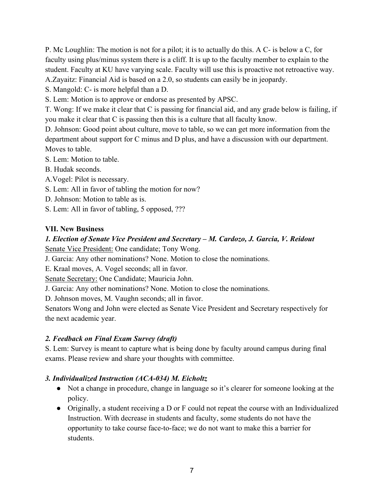P. Mc Loughlin: The motion is not for a pilot; it is to actually do this. A C- is below a C, for faculty using plus/minus system there is a cliff. It is up to the faculty member to explain to the student. Faculty at KU have varying scale. Faculty will use this is proactive not retroactive way. A.Zayaitz: Financial Aid is based on a 2.0, so students can easily be in jeopardy.

S. Mangold: C- is more helpful than a D.

S. Lem: Motion is to approve or endorse as presented by APSC.

T. Wong: If we make it clear that C is passing for financial aid, and any grade below is failing, if you make it clear that C is passing then this is a culture that all faculty know.

D. Johnson: Good point about culture, move to table, so we can get more information from the department about support for C minus and D plus, and have a discussion with our department. Moves to table.

S. Lem: Motion to table.

B. Hudak seconds.

A.Vogel: Pilot is necessary.

S. Lem: All in favor of tabling the motion for now?

- D. Johnson: Motion to table as is.
- S. Lem: All in favor of tabling, 5 opposed, ???

#### **VII. New Business**

# *1. Election of Senate Vice President and Secretary – M. Cardozo, J. Garcia, V. Reidout*

Senate Vice President: One candidate; Tony Wong.

J. Garcia: Any other nominations? None. Motion to close the nominations.

E. Kraal moves, A. Vogel seconds; all in favor.

Senate Secretary: One Candidate; Mauricia John.

J. Garcia: Any other nominations? None. Motion to close the nominations.

D. Johnson moves, M. Vaughn seconds; all in favor.

Senators Wong and John were elected as Senate Vice President and Secretary respectively for the next academic year.

## *2. Feedback on Final Exam Survey (draft)*

S. Lem: Survey is meant to capture what is being done by faculty around campus during final exams. Please review and share your thoughts with committee.

## *3. Individualized Instruction (ACA-034) M. Eicholtz*

- Not a change in procedure, change in language so it's clearer for someone looking at the policy.
- Originally, a student receiving a D or F could not repeat the course with an Individualized Instruction. With decrease in students and faculty, some students do not have the opportunity to take course face-to-face; we do not want to make this a barrier for students.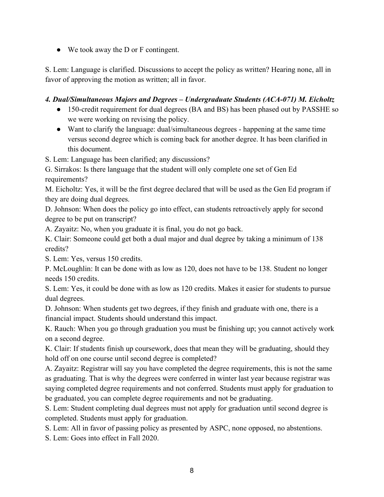● We took away the D or F contingent.

S. Lem: Language is clarified. Discussions to accept the policy as written? Hearing none, all in favor of approving the motion as written; all in favor.

## *4. Dual/Simultaneous Majors and Degrees – Undergraduate Students (ACA-071) M. Eicholtz*

- 150-credit requirement for dual degrees (BA and BS) has been phased out by PASSHE so we were working on revising the policy.
- Want to clarify the language: dual/simultaneous degrees happening at the same time versus second degree which is coming back for another degree. It has been clarified in this document.

S. Lem: Language has been clarified; any discussions?

G. Sirrakos: Is there language that the student will only complete one set of Gen Ed requirements?

M. Eicholtz: Yes, it will be the first degree declared that will be used as the Gen Ed program if they are doing dual degrees.

D. Johnson: When does the policy go into effect, can students retroactively apply for second degree to be put on transcript?

A. Zayaitz: No, when you graduate it is final, you do not go back.

K. Clair: Someone could get both a dual major and dual degree by taking a minimum of 138 credits?

S. Lem: Yes, versus 150 credits.

P. McLoughlin: It can be done with as low as 120, does not have to be 138. Student no longer needs 150 credits.

S. Lem: Yes, it could be done with as low as 120 credits. Makes it easier for students to pursue dual degrees.

D. Johnson: When students get two degrees, if they finish and graduate with one, there is a financial impact. Students should understand this impact.

K. Rauch: When you go through graduation you must be finishing up; you cannot actively work on a second degree.

K. Clair: If students finish up coursework, does that mean they will be graduating, should they hold off on one course until second degree is completed?

A. Zayaitz: Registrar will say you have completed the degree requirements, this is not the same as graduating. That is why the degrees were conferred in winter last year because registrar was saying completed degree requirements and not conferred. Students must apply for graduation to be graduated, you can complete degree requirements and not be graduating.

S. Lem: Student completing dual degrees must not apply for graduation until second degree is completed. Students must apply for graduation.

S. Lem: All in favor of passing policy as presented by ASPC, none opposed, no abstentions.

S. Lem: Goes into effect in Fall 2020.